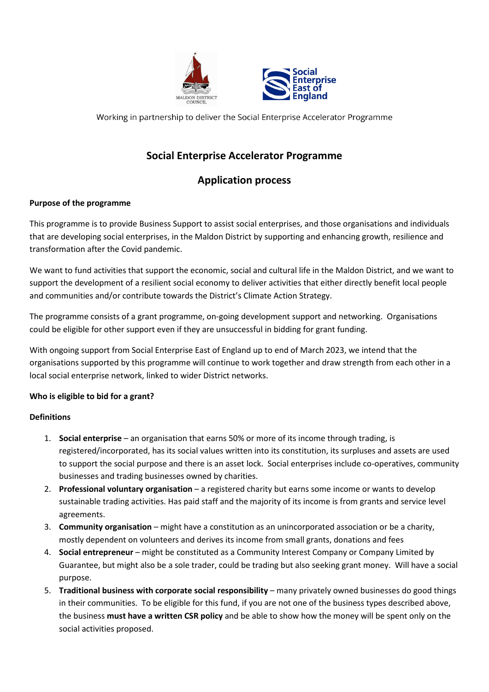



Working in partnership to deliver the Social Enterprise Accelerator Programme

# **Social Enterprise Accelerator Programme**

# **Application process**

# **Purpose of the programme**

This programme is to provide Business Support to assist social enterprises, and those organisations and individuals that are developing social enterprises, in the Maldon District by supporting and enhancing growth, resilience and transformation after the Covid pandemic.

We want to fund activities that support the economic, social and cultural life in the Maldon District, and we want to support the development of a resilient social economy to deliver activities that either directly benefit local people and communities and/or contribute towards the District's Climate Action Strategy.

The programme consists of a grant programme, on-going development support and networking. Organisations could be eligible for other support even if they are unsuccessful in bidding for grant funding.

With ongoing support from Social Enterprise East of England up to end of March 2023, we intend that the organisations supported by this programme will continue to work together and draw strength from each other in a local social enterprise network, linked to wider District networks.

## **Who is eligible to bid for a grant?**

## **Definitions**

- 1. **Social enterprise** an organisation that earns 50% or more of its income through trading, is registered/incorporated, has its social values written into its constitution, its surpluses and assets are used to support the social purpose and there is an asset lock. Social enterprises include co-operatives, community businesses and trading businesses owned by charities.
- 2. **Professional voluntary organisation** a registered charity but earns some income or wants to develop sustainable trading activities. Has paid staff and the majority of its income is from grants and service level agreements.
- 3. **Community organisation** might have a constitution as an unincorporated association or be a charity, mostly dependent on volunteers and derives its income from small grants, donations and fees
- 4. **Social entrepreneur** might be constituted as a Community Interest Company or Company Limited by Guarantee, but might also be a sole trader, could be trading but also seeking grant money. Will have a social purpose.
- 5. **Traditional business with corporate social responsibility** many privately owned businesses do good things in their communities. To be eligible for this fund, if you are not one of the business types described above, the business **must have a written CSR policy** and be able to show how the money will be spent only on the social activities proposed.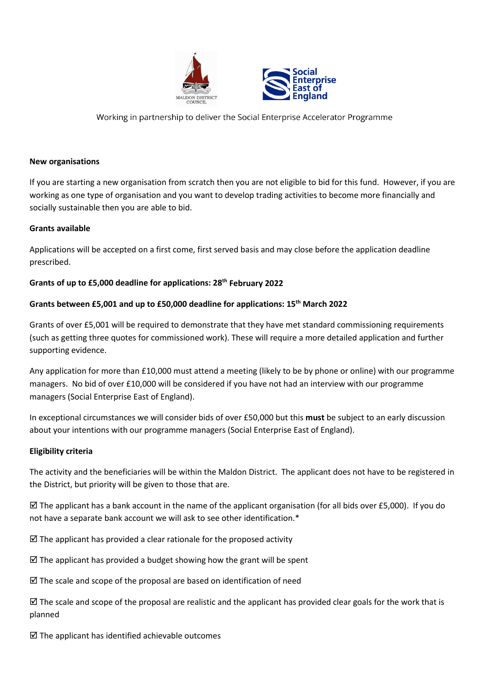



Working in partnership to deliver the Social Enterprise Accelerator Programme

#### **New organisations**

If you are starting a new organisation from scratch then you are not eligible to bid for this fund. However, if you are working as one type of organisation and you want to develop trading activities to become more financially and socially sustainable then you are able to bid.

#### **Grants available**

Applications will be accepted on a first come, first served basis and may close before the application deadline prescribed.

#### **Grants of up to £5,000 deadline for applications: 28th February 2022**

#### **Grants between £5,001 and up to £50,000 deadline for applications: 15th March 2022**

Grants of over £5,001 will be required to demonstrate that they have met standard commissioning requirements (such as getting three quotes for commissioned work). These will require a more detailed application and further supporting evidence.

Any application for more than £10,000 must attend a meeting (likely to be by phone or online) with our programme managers. No bid of over £10,000 will be considered if you have not had an interview with our programme managers (Social Enterprise East of England).

In exceptional circumstances we will consider bids of over £50,000 but this **must** be subject to an early discussion about your intentions with our programme managers (Social Enterprise East of England).

#### **Eligibility criteria**

The activity and the beneficiaries will be within the Maldon District. The applicant does not have to be registered in the District, but priority will be given to those that are.

 $\boxtimes$  The applicant has a bank account in the name of the applicant organisation (for all bids over £5,000). If you do not have a separate bank account we will ask to see other identification.\*

 $\boxtimes$  The applicant has provided a clear rationale for the proposed activity

 $\boxtimes$  The applicant has provided a budget showing how the grant will be spent

 $\boxtimes$  The scale and scope of the proposal are based on identification of need

 $\boxtimes$  The scale and scope of the proposal are realistic and the applicant has provided clear goals for the work that is planned

 $\boxtimes$  The applicant has identified achievable outcomes